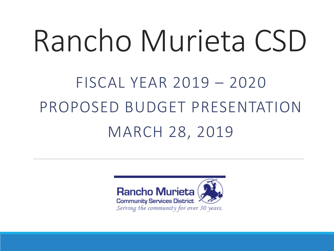# Rancho Murieta CSD

### FISCAL YEAR 2019 – 2020 PROPOSED BUDGET PRESENTATION MARCH 28, 2019

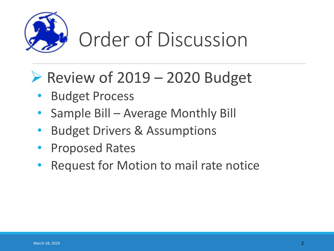

### Order of Discussion

#### $\triangleright$  Review of 2019 – 2020 Budget

- Budget Process
- Sample Bill Average Monthly Bill
- Budget Drivers & Assumptions
- Proposed Rates
- Request for Motion to mail rate notice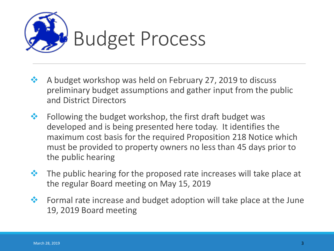

- ❖ A budget workshop was held on February 27, 2019 to discuss preliminary budget assumptions and gather input from the public and District Directors
- ❖ Following the budget workshop, the first draft budget was developed and is being presented here today. It identifies the maximum cost basis for the required Proposition 218 Notice which must be provided to property owners no less than 45 days prior to the public hearing
- ❖ The public hearing for the proposed rate increases will take place at the regular Board meeting on May 15, 2019
- ❖ Formal rate increase and budget adoption will take place at the June 19, 2019 Board meeting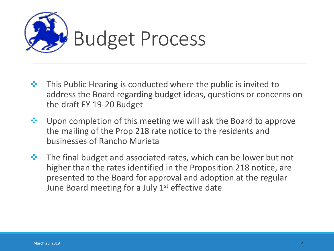

- ❖ This Public Hearing is conducted where the public is invited to address the Board regarding budget ideas, questions or concerns on the draft FY 19-20 Budget
- ❖ Upon completion of this meeting we will ask the Board to approve the mailing of the Prop 218 rate notice to the residents and businesses of Rancho Murieta
- ❖ The final budget and associated rates, which can be lower but not higher than the rates identified in the Proposition 218 notice, are presented to the Board for approval and adoption at the regular June Board meeting for a July  $1<sup>st</sup>$  effective date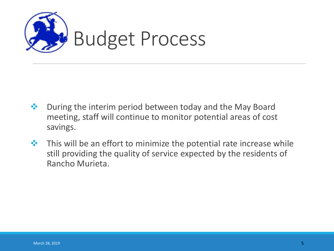

- ❖ During the interim period between today and the May Board meeting, staff will continue to monitor potential areas of cost savings.
- ❖ This will be an effort to minimize the potential rate increase while still providing the quality of service expected by the residents of Rancho Murieta.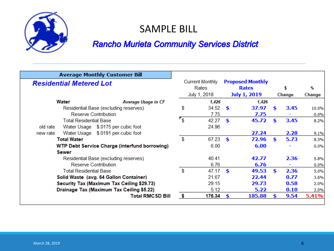

#### SAMPLE BILL

#### **Rancho Murieta Community Services District**

| <b>Average Monthly Customer Bill</b>                                            |    |                                                 |                                                         |               |              |      |               |
|---------------------------------------------------------------------------------|----|-------------------------------------------------|---------------------------------------------------------|---------------|--------------|------|---------------|
| <b>Residential Metered Lot</b>                                                  |    | <b>Current Monthly</b><br>Rates<br>July 1, 2018 | <b>Proposed Monthly</b><br><b>Rates</b><br>July 1, 2019 |               | \$<br>Change |      | %<br>Change   |
| Water<br><b>Average Usage in CF</b>                                             |    | 1,426                                           |                                                         | 1,426         |              |      |               |
| Residential Base (excluding reserves)<br>Reserve Contribution                   | \$ | 34.52<br>7.75                                   | S                                                       | 37.97<br>7.75 | \$           | 3.45 | 10.0%<br>0.0% |
| <b>Total Residential Base</b><br>Water Usage \$.0175 per cubic foot<br>old rate | 's | 42.27<br>24.96                                  | Ś.                                                      | 45.72         | \$           | 3.45 | 8.2%          |
| Water Usage \$.0191 per cubic foot<br>new rate                                  |    |                                                 |                                                         | 27.24         |              | 2.28 | 9.1%          |
| <b>Total Water</b>                                                              | \$ | 67.23                                           | Ś.                                                      | 72.96         | S.           | 5.73 | 8.5%          |
| <b>WTP Debt Service Charge (interfund borrowing)</b>                            |    | 6.00                                            |                                                         | 6.00          |              |      | 0.0%          |
| Sewer<br>Residential Base (excluding reserves)<br>Reserve Contribution          |    | 40.41<br>6.76                                   |                                                         | 42.77<br>6.76 |              | 2.36 | 5.8%<br>0.0%  |
| <b>Total Residential Base</b>                                                   | \$ | 47.17                                           | \$                                                      | 49.53         | Š.           | 2.36 | 5.0%          |
| Solid Waste (avg. 64 Gallon Container)                                          |    | 21.67                                           |                                                         | 22.44         |              | 0.77 | 3.6%          |
| Security Tax (Maximum Tax Ceiling \$29.73)                                      |    | 29.15                                           |                                                         | 29.73         |              | 0.58 | 2.0%          |
| Drainage Tax (Maximum Tax Ceiling \$5.22)                                       |    | 5.12                                            |                                                         | 5.22          |              | 0.10 | 2.0%          |
| Total RMCSD Bill                                                                | S  | 176.34                                          | Я                                                       | 185.88        |              | 9.54 | 5.41%         |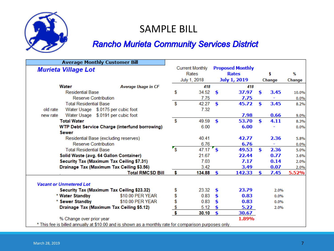

#### SAMPLE BILL

#### **Rancho Murieta Community Services District**

|                                                                                                       |                                | <b>Average Monthly Customer Bill</b>                 |                  |                        |    |                         |     |        |        |
|-------------------------------------------------------------------------------------------------------|--------------------------------|------------------------------------------------------|------------------|------------------------|----|-------------------------|-----|--------|--------|
|                                                                                                       | <b>Murieta Village Lot</b>     |                                                      |                  | <b>Current Monthly</b> |    | <b>Proposed Monthly</b> |     |        |        |
|                                                                                                       |                                |                                                      |                  | Rates                  |    | <b>Rates</b>            |     | s      | %      |
|                                                                                                       |                                |                                                      |                  | July 1, 2018           |    | <b>July 1, 2019</b>     |     | Change | Change |
|                                                                                                       | <b>Water</b>                   | <b>Average Usage in CF</b>                           |                  | 418                    |    | 418                     |     |        |        |
|                                                                                                       | <b>Residential Base</b>        |                                                      | S                | 34.52                  | \$ | 37.97                   | \$  | 3.45   | 10.0%  |
|                                                                                                       | Reserve Contribution           |                                                      |                  | 7.75                   |    | 7.75                    |     |        | 0.0%   |
|                                                                                                       | <b>Total Residential Base</b>  |                                                      | \$               | 42.27                  | \$ | 45.72                   | \$  | 3.45   | 8.2%   |
| old rate                                                                                              |                                | Water Usage \$.0175 per cubic foot                   |                  | 7.32                   |    |                         |     |        |        |
| new rate                                                                                              |                                | Water Usage \$.0191 per cubic foot                   |                  |                        |    | 7.98                    |     | 0.66   | 9.0%   |
|                                                                                                       | <b>Total Water</b>             |                                                      | \$               | 49.59                  | \$ | 53.70                   | \$  | 4.11   | 8.3%   |
|                                                                                                       |                                | <b>WTP Debt Service Charge (interfund borrowing)</b> |                  | 6.00                   |    | 6.00                    |     |        | 0.0%   |
|                                                                                                       | <b>Sewer</b>                   |                                                      |                  |                        |    |                         |     |        |        |
|                                                                                                       |                                | Residential Base (excluding reserves)                |                  | 40.41                  |    | 42.77                   |     | 2.36   | 5.8%   |
|                                                                                                       | <b>Reserve Contribution</b>    |                                                      |                  | 6.76                   |    | 6.76                    |     | ÷,     | 0.0%   |
|                                                                                                       | <b>Total Residential Base</b>  |                                                      | $\mathbf{r_{s}}$ | $47.17$ \$             |    | 49.53                   | \$  | 2.36   | 5.0%   |
|                                                                                                       |                                | Solid Waste (avg. 64 Gallon Container)               |                  | 21.67                  |    | 22.44                   |     | 0.77   | 3.6%   |
|                                                                                                       |                                | Security Tax (Maximum Tax Ceiling \$7.31)            |                  | 7.03                   |    | 7.17                    |     | 0.14   | 2.0%   |
|                                                                                                       |                                | Drainage Tax (Maximum Tax Ceiling \$3.56)            |                  | 3.42                   |    | 3.49                    |     | 0.07   | 2.0%   |
|                                                                                                       |                                | <b>Total RMCSD Bill</b>                              | \$               | 134.88                 | \$ | 142.33                  | \$. | 7.45   | 5.52%  |
|                                                                                                       |                                |                                                      |                  |                        |    |                         |     |        |        |
|                                                                                                       | <b>Vacant or Unmetered Lot</b> |                                                      |                  |                        |    |                         |     |        |        |
|                                                                                                       |                                | Security Tax (Maximum Tax Ceiling \$23.32)           | \$               | 23.32                  | S  | 23.79                   |     | 2.0%   |        |
|                                                                                                       | * Water Standby                | \$10.00 PER YEAR                                     | \$               | 0.83                   | \$ | 0.83                    |     | 0.0%   |        |
|                                                                                                       | * Sewer Standby                | \$10.00 PER YEAR                                     | \$               | 0.83                   | \$ | 0.83                    |     | 0.0%   |        |
|                                                                                                       |                                | Drainage Tax (Maximum Tax Ceiling \$5.12)            | $\frac{\$}{\$}$  | 5.12                   |    | 5.22                    |     | 2.0%   |        |
|                                                                                                       |                                |                                                      |                  | 30.10                  | \$ | 30.67                   |     |        |        |
|                                                                                                       | % Change over prior year       |                                                      |                  |                        |    | 1.89%                   |     |        |        |
| * This fee is billed annually at \$10.00 and is shown as a monthly rate for comparison purposes only. |                                |                                                      |                  |                        |    |                         |     |        |        |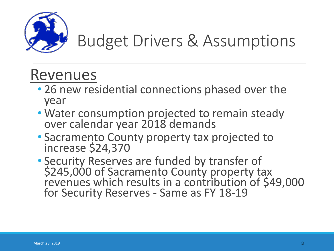

#### Revenues

- 26 new residential connections phased over the year
- Water consumption projected to remain steady over calendar year 2018 demands
- Sacramento County property tax projected to increase \$24,370
- Security Reserves are funded by transfer of \$245,000 of Sacramento County property tax revenues which results in a contribution of \$49,000 for Security Reserves - Same as FY 18-19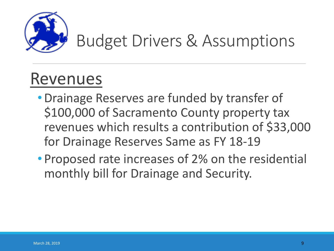

#### Revenues

- •Drainage Reserves are funded by transfer of \$100,000 of Sacramento County property tax revenues which results a contribution of \$33,000 for Drainage Reserves Same as FY 18-19
- Proposed rate increases of 2% on the residential monthly bill for Drainage and Security.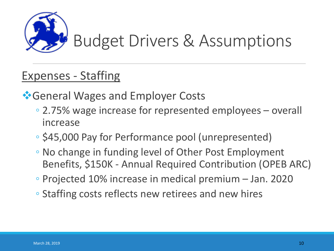

#### Expenses - Staffing

*❖***General Wages and Employer Costs** 

- 2.75% wage increase for represented employees overall increase
- \$45,000 Pay for Performance pool (unrepresented)
- No change in funding level of Other Post Employment Benefits, \$150K - Annual Required Contribution (OPEB ARC)
- Projected 10% increase in medical premium Jan. 2020
- Staffing costs reflects new retirees and new hires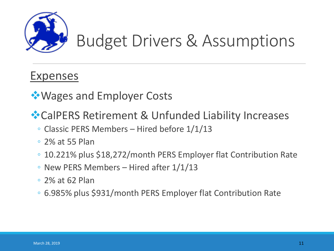

#### Expenses

❖Wages and Employer Costs

❖CalPERS Retirement & Unfunded Liability Increases

- Classic PERS Members Hired before 1/1/13
- 2% at 55 Plan
- 10.221% plus \$18,272/month PERS Employer flat Contribution Rate
- New PERS Members Hired after 1/1/13
- 2% at 62 Plan
- 6.985% plus \$931/month PERS Employer flat Contribution Rate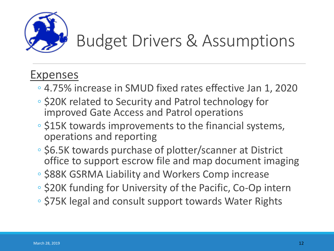

#### Expenses

- 4.75% increase in SMUD fixed rates effective Jan 1, 2020
- \$20K related to Security and Patrol technology for improved Gate Access and Patrol operations
- \$15K towards improvements to the financial systems, operations and reporting
- \$6.5K towards purchase of plotter/scanner at District office to support escrow file and map document imaging
- \$88K GSRMA Liability and Workers Comp increase
- \$20K funding for University of the Pacific, Co-Op intern
- \$75K legal and consult support towards Water Rights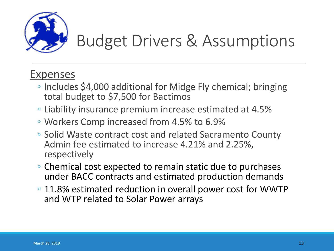

#### Expenses

- Includes \$4,000 additional for Midge Fly chemical; bringing total budget to \$7,500 for Bactimos
- Liability insurance premium increase estimated at 4.5%
- Workers Comp increased from 4.5% to 6.9%
- Solid Waste contract cost and related Sacramento County Admin fee estimated to increase 4.21% and 2.25%, respectively
- Chemical cost expected to remain static due to purchases under BACC contracts and estimated production demands
- 11.8% estimated reduction in overall power cost for WWTP and WTP related to Solar Power arrays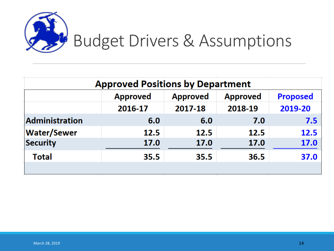

| <b>Approved Positions by Department</b> |                 |                                    |         |                 |  |  |
|-----------------------------------------|-----------------|------------------------------------|---------|-----------------|--|--|
|                                         | <b>Approved</b> | <b>Approved</b><br><b>Approved</b> |         | <b>Proposed</b> |  |  |
|                                         | 2016-17         | 2017-18                            | 2018-19 | 2019-20         |  |  |
| <b>Administration</b>                   | 6.0             | 6.0                                | 7.0     | 7.5             |  |  |
| <b>Water/Sewer</b>                      | 12.5            | <b>12.5</b>                        | 12.5    | 12.5            |  |  |
| Security                                | 17.0            | <b>17.0</b>                        | 17.0    | <b>17.0</b>     |  |  |
| <b>Total</b>                            | 35.5            | 35.5                               | 36.5    | 37.0            |  |  |
|                                         |                 |                                    |         |                 |  |  |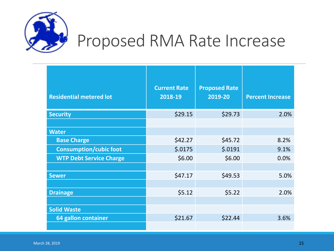

### Proposed RMA Rate Increase

| <b>Residential metered lot</b> | <b>Current Rate</b><br>2018-19 | <b>Proposed Rate</b><br>2019-20 | <b>Percent Increase</b> |
|--------------------------------|--------------------------------|---------------------------------|-------------------------|
| <b>Security</b>                | \$29.15                        | \$29.73                         | 2.0%                    |
|                                |                                |                                 |                         |
| <b>Water</b>                   |                                |                                 |                         |
| <b>Base Charge</b>             | \$42.27                        | \$45.72                         | 8.2%                    |
| <b>Consumption/cubic foot</b>  | \$.0175                        | \$.0191                         | 9.1%                    |
| <b>WTP Debt Service Charge</b> | \$6.00                         | \$6.00                          | 0.0%                    |
|                                |                                |                                 |                         |
| <b>Sewer</b>                   | \$47.17                        | \$49.53                         | 5.0%                    |
|                                |                                |                                 |                         |
| <b>Drainage</b>                | \$5.12                         | \$5.22                          | 2.0%                    |
|                                |                                |                                 |                         |
| <b>Solid Waste</b>             |                                |                                 |                         |
| 64 gallon container            | \$21.67                        | \$22.44                         | 3.6%                    |
|                                |                                |                                 |                         |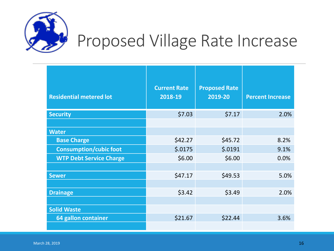

### Proposed Village Rate Increase

| <b>Residential metered lot</b> | <b>Current Rate</b><br>2018-19 | <b>Proposed Rate</b><br>2019-20 | <b>Percent Increase</b> |
|--------------------------------|--------------------------------|---------------------------------|-------------------------|
| <b>Security</b>                | \$7.03                         | \$7.17                          | 2.0%                    |
|                                |                                |                                 |                         |
| <b>Water</b>                   |                                |                                 |                         |
| <b>Base Charge</b>             | \$42.27                        | \$45.72                         | 8.2%                    |
| <b>Consumption/cubic foot</b>  | \$.0175                        | \$.0191                         | 9.1%                    |
| <b>WTP Debt Service Charge</b> | \$6.00                         | \$6.00                          | 0.0%                    |
|                                |                                |                                 |                         |
| <b>Sewer</b>                   | \$47.17                        | \$49.53                         | 5.0%                    |
|                                |                                |                                 |                         |
| <b>Drainage</b>                | \$3.42                         | \$3.49                          | 2.0%                    |
|                                |                                |                                 |                         |
| <b>Solid Waste</b>             |                                |                                 |                         |
| 64 gallon container            | \$21.67                        | \$22.44                         | 3.6%                    |
|                                |                                |                                 |                         |